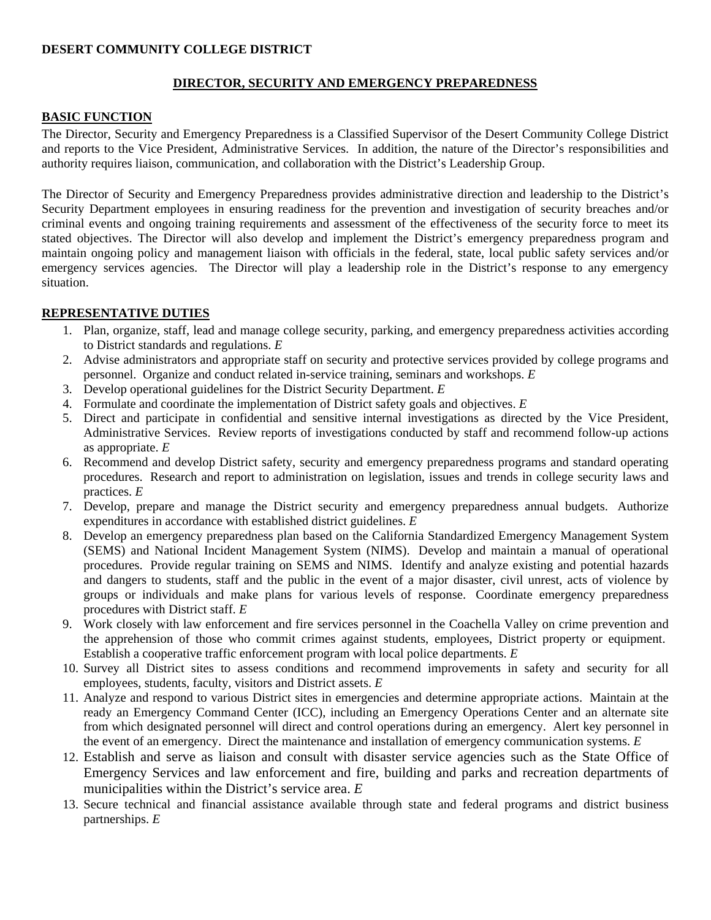### **DESERT COMMUNITY COLLEGE DISTRICT**

# **DIRECTOR, SECURITY AND EMERGENCY PREPAREDNESS**

#### **BASIC FUNCTION**

The Director, Security and Emergency Preparedness is a Classified Supervisor of the Desert Community College District and reports to the Vice President, Administrative Services. In addition, the nature of the Director's responsibilities and authority requires liaison, communication, and collaboration with the District's Leadership Group.

The Director of Security and Emergency Preparedness provides administrative direction and leadership to the District's Security Department employees in ensuring readiness for the prevention and investigation of security breaches and/or criminal events and ongoing training requirements and assessment of the effectiveness of the security force to meet its stated objectives. The Director will also develop and implement the District's emergency preparedness program and maintain ongoing policy and management liaison with officials in the federal, state, local public safety services and/or emergency services agencies. The Director will play a leadership role in the District's response to any emergency situation.

### **REPRESENTATIVE DUTIES**

- 1. Plan, organize, staff, lead and manage college security, parking, and emergency preparedness activities according to District standards and regulations. *E*
- 2. Advise administrators and appropriate staff on security and protective services provided by college programs and personnel. Organize and conduct related in-service training, seminars and workshops. *E*
- 3. Develop operational guidelines for the District Security Department. *E*
- 4. Formulate and coordinate the implementation of District safety goals and objectives. *E*
- 5. Direct and participate in confidential and sensitive internal investigations as directed by the Vice President, Administrative Services. Review reports of investigations conducted by staff and recommend follow-up actions as appropriate. *E*
- 6. Recommend and develop District safety, security and emergency preparedness programs and standard operating procedures. Research and report to administration on legislation, issues and trends in college security laws and practices. *E*
- 7. Develop, prepare and manage the District security and emergency preparedness annual budgets. Authorize expenditures in accordance with established district guidelines. *E*
- 8. Develop an emergency preparedness plan based on the California Standardized Emergency Management System (SEMS) and National Incident Management System (NIMS). Develop and maintain a manual of operational procedures. Provide regular training on SEMS and NIMS. Identify and analyze existing and potential hazards and dangers to students, staff and the public in the event of a major disaster, civil unrest, acts of violence by groups or individuals and make plans for various levels of response. Coordinate emergency preparedness procedures with District staff. *E*
- 9. Work closely with law enforcement and fire services personnel in the Coachella Valley on crime prevention and the apprehension of those who commit crimes against students, employees, District property or equipment. Establish a cooperative traffic enforcement program with local police departments. *E*
- 10. Survey all District sites to assess conditions and recommend improvements in safety and security for all employees, students, faculty, visitors and District assets. *E*
- 11. Analyze and respond to various District sites in emergencies and determine appropriate actions. Maintain at the ready an Emergency Command Center (ICC), including an Emergency Operations Center and an alternate site from which designated personnel will direct and control operations during an emergency. Alert key personnel in the event of an emergency. Direct the maintenance and installation of emergency communication systems. *E*
- 12. Establish and serve as liaison and consult with disaster service agencies such as the State Office of Emergency Services and law enforcement and fire, building and parks and recreation departments of municipalities within the District's service area. *E*
- 13. Secure technical and financial assistance available through state and federal programs and district business partnerships. *E*